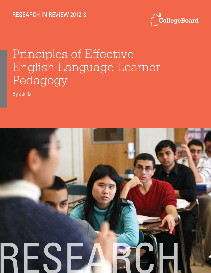

# Principles of Effective English Language Learner Pedagogy

By Jun Li

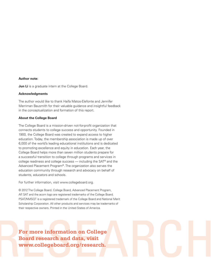#### **Author note:**

**Jun Li** is a graduate intern at the College Board.

#### **Acknowledgments**

The author would like to thank Haifa Matos-Elefonte and Jennifer Merriman Bausmith for their valuable guidance and insightful feedback in the conceptualization and formation of this report.

#### **About the College Board**

The College Board is a mission-driven not-for-profit organization that connects students to college success and opportunity. Founded in 1900, the College Board was created to expand access to higher education. Today, the membership association is made up of over 6,000 of the world's leading educational institutions and is dedicated to promoting excellence and equity in education. Each year, the College Board helps more than seven million students prepare for a successful transition to college through programs and services in college readiness and college success — including the SAT® and the Advanced Placement Program®. The organization also serves the education community through research and advocacy on behalf of students, educators and schools.

For further information, visit www.collegeboard.org.

© 2012 The College Board. College Board, Advanced Placement Program, AP, SAT and the acorn logo are registered trademarks of the College Board. PSAT/NMSQT is a registered trademark of the College Board and National Merit Scholarship Corporation. All other products and services may be trademarks of their respective owners. Printed in the United States of America.

For more information on College **Board research and data, visit** www.collegeboard.org/research. **Board research and data, visit www.collegeboard.org/research.**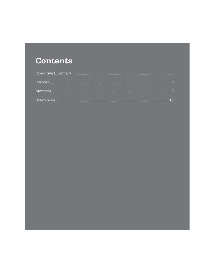## **Contents**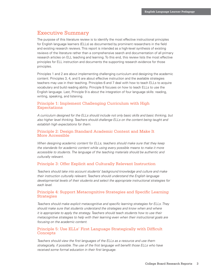## Executive Summary

The purpose of this literature review is to identify the most effective instructional principles for English language learners (ELLs) as documented by prominent researchers in the field and existing research reviews. This report is intended as a high-level synthesis of existing reviews of the literature rather than a comprehensive search and documentation of all primary research articles on ELL teaching and learning. To this end, this review lists the most effective principles for ELL instruction and documents the supporting research evidence for those principles.

Principles 1 and 2 are about implementing challenging curriculum and designing the academic content. Principles 3, 4, and 5 are about effective instruction and the available strategies teachers may use in their teaching. Principles 6 and 7 deal with how to teach ELLs to acquire vocabulary and build reading ability. Principle 8 focuses on how to teach ELLs to use the English language. Last, Principle 9 is about the integration of four language skills: reading, writing, speaking, and listening.

## Principle 1: Implement Challenging Curriculum with High Expectations

*A curriculum designed for the ELLs should include not only basic skills and basic thinking, but also higher level thinking. Teachers should challenge ELLs on the content being taught and establish high expectations for them.* 

## Principle 2: Design Standard Academic Content and Make It More Accessible

*When designing academic content for ELLs, teachers should make sure that they keep the standards for academic content while using every possible means to make it more accessible to students. The language of the teaching materials should be authentic and culturally relevant.* 

## Principle 3: Offer Explicit and Culturally Relevant Instruction

*Teachers should take into account students' background knowledge and culture and make their instruction culturally relevant. Teachers should understand the English language developmental levels of their students and select the appropriate instructional strategies for each level.* 

## Principle 4: Support Metacognitive Strategies and Specific Learning Strategies

*Teachers should make explicit metacognitive and specific learning strategies for ELLs. They should make sure that students understand the strategies and know when and where it is appropriate to apply the strategy. Teachers should teach students how to use their metacognitive strategies to help with their learning even when their instructional goals are focusing on the academic content.* 

## Principle 5: Use ELLs' First Language Strategically with Difficult Concepts

*Teachers should view the first languages of the ELLs as a resource and use them strategically, if possible. The use of the first language will benefit those ELLs who have received some formal education in their first language.*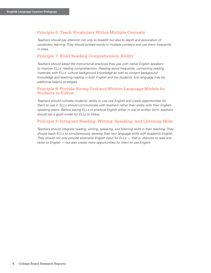## Principle 6: Teach Vocabulary Within Multiple Contexts

*Teachers should pay attention not only to breadth but also to depth and association of vocabulary learning. They should embed words in multiple contexts and use them frequently in class.* 

## Principle 7: Build Reading Comprehension Ability

*Teachers should adopt the instructional practices they use with native English speakers to improve ELLs' reading comprehension. Reading aloud frequently, connecting reading materials with ELLs' cultural background knowledge as well as content background knowledge and teaching reading in both English and the students' first language may be additional helpful strategies.* 

## Principle 8: Provide Strong Oral and Written Language Models for Students to Follow

*Teachers should cultivate students' ability to use oral English and create opportunities for them to use it. ELLs should communicate with teachers rather than solely with their Englishspeaking peers. Before asking ELLs to produce English either in oral or written form, teachers should set a good model for ELLs to follow.* 

## Principle 9: Integrate Reading, Writing, Speaking, and Listening Skills

*Teachers should integrate reading, writing, speaking, and listening skills in their teaching. They should teach ELLs to simultaneously develop their four language skills with academic English. They should not only provide extensive English input for ELLs — that is, chances to read and listen to English — but also create more opportunities for them to use English.*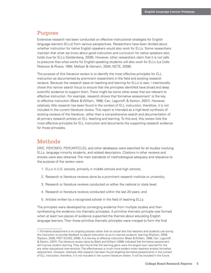## Purpose

Extensive research has been conducted on effective instructional strategies for English language learners (ELLs) from various perspectives. Researchers have been divided about whether instruction for native English speakers would also work for ELLs. Some researchers maintain that what we know about good instruction and curriculum for native speakers also holds true for ELLs (Goldenberg, 2008). However, other researchers claim that it is not safe to presume that what works for English-speaking students will also work for ELLs (La Celle-Peterson & Rivera, 1994; Meltzer & Hamann, 2004; NCTE, 2008).

The purpose of this literature review is to identify the most effective principles for ELL instruction as documented by prominent researchers in the field and existing research reviews. Because the research base on teaching and learning for ELLs is vast, I intentionally chose this narrow search focus to ensure that the principles identified have broad and deep scientific evidence to support them. There might be some other areas that are relevant to effective instruction. For example, research shows that formative assessment<sup>1</sup> is the key to effective instruction (Black & William, 1998; Carr, Lagunoff, & Sexton, 2007). However, relatively little research has been found in the context of ELL instruction; therefore, it is not included in the current literature review. This report is intended as a high-level synthesis of existing reviews of the literature, rather than a comprehensive search and documentation of all primary research articles on ELL teaching and learning. To this end, this review lists the most effective principles for ELL instruction and documents the supporting research evidence for those principles.

## Methods

ERIC, PSYCINFO, PSYCARTICLES, and other databases were searched for all studies involving ELLs, language minority students, and related descriptors. Citations in other reviews and articles were also obtained. The main standards of methodological adequacy and relevance to the purpose of the review were:

- 1. ELLs in U.S. schools, primarily in middle schools and high schools;
- 2. Research or literature reviews done by a prominent research institute or university;
- 3. Research or literature reviews conducted on either the national or state level;
- 4. Research or literature reviews conducted within the last 20 years; and
- 5. Articles written by a recognized scholar in the field of teaching ELLs.

The principles were developed by converging evidence from multiple studies and then synthesizing the evidence into thematic principles. A primitive thematic principle was formed when at least two pieces of evidence supported the themes about educating English language learners. Then those primitive thematic principles were merged to form the final

<sup>1.</sup> Formative assessment is an ongoing process rather than an actual test that teachers and students use during the instruction to provide feedback to adjust instruction so as to improve students' learning (Popham, 2008; Popham, 2009; FAST SCASS, 2008). It is the key to effective instruction (Black & William, 1998; Carr, Lagunoff, & Sexton, 2007). The literature review done by Black and William (1998) indicated that formative assessment did improve student learning. They also found that the learning gains were the largest ever reported for the any other educational interventions. The effectiveness is much more evident when teachers employ formative assessment. However, relatively little research has been found targeting formative assessments in the context of ELL instruction; therefore, it is not included in the current literature review. It will be included in the future.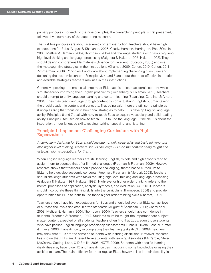primary principles. For each of the nine principles, the overarching principle is first presented, followed by a summary of the supporting research.

The first five principles are about academic content instruction. Teachers should have high expectations for ELLs (August & Shanahan, 2006; Coady, Hamann, Harrington, Pho, & Yedlin, 2008; Meltzer & Hamann, 2004; Thompson, 2004) and challenge students with tasks requiring high-level thinking and language processing (Galguera & Hakuta, 1997; Hakuta, 1998). They should design comprehensible materials (Alliance for Excellent Education, 2005) and use the metacognitive strategies in their instructions (Chamot, 2009; Cohen, 2010; Cohen, 2011; Zimmerman, 2008). Principles 1 and 2 are about implementing challenging curriculum and designing the academic content. Principles 3, 4, and 5 are about the most effective instruction and available strategies teachers may use in their instructions.

Generally speaking, the main challenge most ELLs face is to learn academic content while simultaneously improving their English proficiency (Goldenberg & Coleman, 2010). Teachers should attempt to unify language learning and content learning (Spaulding, Carolino, & Amen, 2004). They may teach language through content by contextualizing English but maintaining the crucial academic content and concepts. That being said, there are still some principles (Principles 6–9) that focus on instructional strategies to help ELLs develop English language ability. Principles 6 and 7 deal with how to teach ELLs to acquire vocabulary and build reading ability. Principle 8 focuses on how to teach ELLs to use the language. Principle 9 is about the integration of four language skills: reading, writing, speaking, and listening.

## Principle 1: Implement Challenging Curriculum with High Expectations

*A curriculum designed for ELLs should include not only basic skills and basic thinking, but also higher level thinking. Teachers should challenge ELLs on the content being taught and establish high expectations for them.* 

When English language learners are still learning English, middle and high schools tend to assign them to courses that offer limited challenges (Freeman & Freeman, 2009). However, research shows that teachers should provide challenging, theme-based curriculum to ELLs to help develop academic concepts (Freeman, Freeman, & Mercuri, 2003). Teachers should challenge students with tasks requiring high-level thinking and language processing (Galguera & Hakuta, 1997; Hakuta, 1998). High-level or higher order thinking refers to the mental processes of application, analysis, synthesis, and evaluation (AYP, 2011). Teachers should incorporate these thinking skills into the curriculum (Thompson, 2004) and provide opportunities for ELLs to learn to use these higher order thinking skills (Chamot, 1995).

Teachers should have high expectations for ELLs and should believe that ELLs can achieve or surpass the levels depicted in state standards (August & Shanahan, 2006; Coady et al., 2008; Meltzer & Hamann, 2004; Thompson, 2004). Teachers should have confidence in students (Freeman & Freeman, 1989). Students must be taught the important core subject matter content expected of all students. Teachers often find that ELLs, even those students who have passed English language proficiency assessments (Francis, Rivera, Lesaux, Kieffer, & Rivera, 2006), have difficulty in completing their learning tasks (NCTE, 2008). Teachers may think that ELLs are the same as students with learning disabilities. However, research has shown that ELLs are different from students with learning disabilities (McCardle, Mele-McCarthy, Cutting, Leos, & D'Emilio, 2005; NCTE, 2008). Students with specific learning disabilities may have lower IQ and have difficulties in acquiring some knowledge or using their abilities to learn. The main difficulty for most regular ELLs, however, lies in their disability in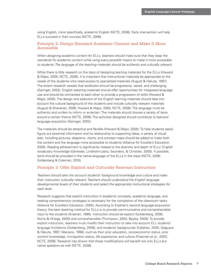using English, more specifically, academic English (NCTE, 2008). Early intervention will help ELLs succeed in their courses (NCTE, 2008).

## Principle 2: Design Standard Academic Content and Make It More Accessible

*When designing academic content for ELLs, teachers should make sure that they keep the standards for academic content while using every possible means to make it more accessible*  to students. The language of the teaching materials should be authentic and culturally relevant.

While there is little research on the topic of designing learning materials for the ELLs (Howard & Major, 2005; NCTE, 2006), it is important that instructional materials be appropriate to the needs of the students who need access to specialized materials (August & Hakuta, 1997). The extant research reveals that textbooks should be progressive, varied, and challenging (Garinger, 2002). English teaching materials should offer opportunities for integrated language use and should be connected to each other to provide a progression of skills (Howard & Major, 2005). The design and selection of the English learning materials should take into account the cultural background of the students and include culturally relevant materials (August & Shanahan, 2006; Howard & Major, 2005; NCTE, 2006). The language must be authentic and written to inform or entertain. The materials should choose a variety of texts around a certain theme (NCTE, 2006). The activities designed should contribute to learners' language acquisition (Garinger, 2002).

The materials should be attractive and flexible (Howard & Major, 2005). To help students easily figure out essential information and its relationship to supporting ideas, a variety of visual aids, including pictures, diagrams, charts, and concept maps should be added to make both the content and the language more accessible to students (Alliance for Excellent Education, 2005). Reading achievement is significantly related to the diversity and depth of ELLs' English vocabulary knowledge (Genesee, Lindholm-Leary, Saunders, & Christian, 2005). If possible, texts should be provided in the native language of the ELLs in the class (NCTE, 2006; Goldenberg & Coleman, 2010).

### Principle 3: Offer Explicit and Culturally Relevant Instruction

*Teachers should take into account students' background knowledge and culture and make their instruction culturally relevant. Teachers should understand the English language developmental levels of their students and select the appropriate instructional strategies for each level.*

Research suggests that explicit instruction in academic concepts, academic language, and reading comprehension strategies is necessary for the completion of the classroom tasks (Alliance for Excellent Education, 2005). According to Krashen's second language acquisition theory, the best teaching method for ELLs is to provide communicative and comprehensible input to the students (Krashen, 1985). Instruction should be explicit (Goldenberg, 2006; Norris & Ortega, 2000) and comprehensible (Thompson, 2004; Bayley, 2009). To provide explicit instruction, teachers must modify their instruction to take into account ELL students' language limitations (Goldenberg, 2008), and students' backgrounds (Callahan, 2005; Galguera & Hakuta, 1997; Marzano, 1998), such as their prior education, socioeconomic status, prior content knowledge, immigration status, life experience, and culture (Freeman et al., 2003; NCTE, 2008). Research has shown that these modifications will benefit not only ELLs but native speakers as well (NCTE, 2008).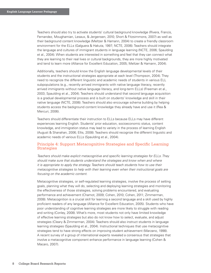Teachers should also try to activate students' cultural background knowledge (Rivera, Francis, Fernandez, Moughamian, Lesaux, & Jergensen, 2010; Short & Fitzsimmons, 2007) as well as their background content knowledge (Meltzer & Hamann, 2004) to create a friendly classroom environment for the ELLs (Galguera & Hakuta, 1997; NCTE, 2006). Teachers should integrate the language and cultures of immigrant students in language learning (NCTE, 2006; Spaulding et al., 2004). When students are interested in something and feel that they can connect what they are learning to their real lives or cultural backgrounds, they are more highly motivated and tend to learn more (Alliance for Excellent Education, 2005; Meltzer & Hamann, 2004).

Additionally, teachers should know the English language developmental levels of their students and the instructional strategies appropriate at each level (Thompson, 2004). They need to recognize the different linguistic and academic needs of students in various ELL subpopulations (e.g., recently arrived immigrants with native language literacy, recently arrived immigrants without native language literacy, and long-term ELLs) (Freeman et al., 2003; Spaulding et al., 2004). Teachers should understand that second language acquisition is a gradual developmental process and is built on students' knowledge and skill in their native language (NCTE, 2006). Teachers should also encourage schema building by helping students access the background content knowledge they already have and use it (Rea & Mercuri, 2006).

Teachers should differentiate their instruction to ELLs because ELLs may have different experiences learning English. Students' prior education, socioeconomic status, content knowledge, and immigration status may lead to variety in the process of learning English (August & Shanahan, 2006; Ellis, 2008). Teachers should recognize the different linguistic and academic needs of various ELLs (Spaulding et al., 2004).

## Principle 4: Support Metacognitive Strategies and Specific Learning Strategies

*Teachers should make explicit metacognitive and specific learning strategies for ELLs. They should make sure that students understand the strategies and know when and where it is appropriate to apply the strategy. Teachers should teach students how to use their metacognitive strategies to help with their learning even when their instructional goals are focusing on the academic content.* 

Metacognitive strategies, or self-regulated learning strategies, involve the process of setting goals, planning what they will do, selecting and deploying learning strategies and monitoring the effectiveness of those strategies, solving problems encountered, and evaluating performance and achievement (Chamot, 2009; Cohen, 2010; Cohen, 2011; Zimmerman, 2008). Metacognition is a crucial skill for learning a second language and a skill used by highly proficient readers of any language (Alliance for Excellent Education, 2005). Students who have poor understanding of cognitive learning strategies are more likely to struggle with reading and writing (Conley, 2008). What's more, most students not only have limited knowledge of effective learning strategies but also do not know how to select, evaluate, and adjust strategies (Cleary & Zimmerman, 2004). Teachers should also instruct students in language learning strategies (Spaulding et al., 2004). Instructional techniques that use metacognitive strategies tend to have strong effects on improving student achievement (Marzano, 1998). A recent survey of a group of international experts revealed a consensus that strategies that involve a metacognitive component enhance performance in language learning (Cohen & Macaro, 2007).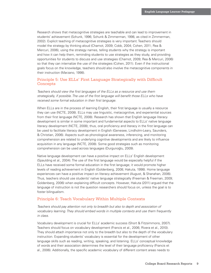Research shows that metacognitive strategies are teachable and can lead to improvement in students' achievement (Schunk, 1996; Schunk & Zimmerman, 1998, as cited in Zimmerman, 2002). Explicit teaching of metacognitive strategies is very important. Teachers should model the strategy by thinking aloud (Chamot, 2009; Cobb, 2004; Cohen, 2011; Rea & Mercuri, 2006), using the strategy names, telling students why the strategy is important and how it can help them, reminding students to use strategies as they study, and providing opportunities for students to discuss and use strategies (Chamot, 2009; Rea & Mercuri, 2006) so that they can internalize the use of the strategies (Cohen, 2011). Even if the instructional goals focus on the knowledge, teachers should also involve the metacognitive components in their instruction (Marzano, 1998).

## Principle 5: Use ELLs' First Language Strategically with Difficult Concepts

*Teachers should view the first languages of the ELLs as a resource and use them strategically, if possible. The use of the first language will benefit those ELLs who have received some formal education in their first language.* 

When ELLs are in the process of learning English, their first language is usually a resource they can use (NCTE, 2008). ELLs may use linguistic, metacognitive, and experiential sources from their first language (NCTE, 2008). Research has shown that English language literacy development is similar in some important and fundamental aspects to ELLs' native language literacy development (NCTE, 2008); thus, oral proficiency and literacy in the first language can be used to facilitate literacy development in English (Genesee, Lindholm-Leary, Saunders, & Christian, 2006). Aspects such as phonological awareness, inferencing, and monitoring comprehension are related to underlying cognitive developments and are likely to influence acquisition in any language (NCTE, 2008). Some good strategies such as monitoring comprehension can be used across languages (Durgunoğlu, 2009).

Native language development can have a positive impact on ELLs' English development (Spaulding et al., 2004). The use of the first language would be especially helpful if the ELLs have received some formal education in the first language; it would promote higher levels of reading achievement in English (Goldenberg, 2008; Hakuta, 1998). Home language experiences can have a positive impact on literacy achievement (August, & Shanahan, 2006). Thus, teachers should use students' native language strategically (Freeman & Freeman, 2009; Goldenberg, 2006) when explaining difficult concepts. However, Hakuta (2011) argued that the language of instruction is not the question researchers should focus on, unless the goal is to foster bilingualism.

#### Principle 6: Teach Vocabulary Within Multiple Contexts

*Teachers should pay attention not only to breadth but also to depth and association of vocabulary learning. They should embed words in multiple contexts and use them frequently in class.* 

Vocabulary development is crucial for ELLs' academic success (Short & Fitzsimmons, 2007). Teachers should focus on vocabulary development (Francis et al., 2006; Rivera et al., 2010). They should attach importance not only to the breadth but also to the depth of the vocabulary instruction. Expanding students' vocabulary is essential for the development of other language skills such as reading, writing, speaking, and listening. ELLs' conceptual knowledge of words and their association determines the level of their language proficiency (Francis et al., 2006). Additionally, the specific academic vocabulary of different content areas needs to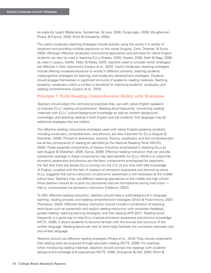be explicitly taught (Ballantyne, Sanderman, & Levy, 2008; Durgunoğlu, 2009; Moughamian, Rivera, & Francis, 2009; Short & Echevarria, 2004).

The useful vocabulary learning strategies include actively using the words in a variety of situations and providing multiple exposures to the words (August, Carlo, Dressler, & Snow, 2005). Although effective vocabulary instructional approaches and activities for native English students can also be used in teaching ELLs (Graves, 2000; Graves, 2006; Stahl & Nagy, 2006, as cited in Lesaux, Kieffer, Faller, & Kelley, 2010), teachers need to consider which strategies are effective in their classrooms (Lesaux et al., 2010). Useful vocabulary teaching strategies include offering increased exposure to words in different contexts, teaching students metacognitive strategies for learning, and vocabulary development strategies. Students should engage themselves in significant amounts of academic reading materials. Teaching academic vocabulary within a context is beneficial to improving students' vocabulary and reading comprehension (Lesaux et al., 2010).

#### Principle 7: Build Reading Comprehension Ability with Strategies

*Teachers should adopt the instructional practices they use with native English speakers to improve ELLs' reading comprehension. Reading aloud frequently, connecting reading materials with ELLs' cultural background knowledge as well as content background knowledge, and teaching reading in both English and the students' first language may be additional strategies that are helpful.* 

The effective reading instructional strategies used with native English-speaking students, including vocabulary, comprehension, and phonics, are also important for ELLs (August & Shanahan, 2006). Phonemic awareness, phonics, fluency, vocabulary, and text comprehension are all key components of reading as identified by the National Reading Panel (NICHD, 2000). These essential components of literacy should be emphasized in teaching ELLs as well (August & Shanahan, 2006; Garcia, 2009). Effective reading instruction that can provide substantial coverage in these components may have benefits for ELLs. While it is noted that phonemic awareness and phonics are the basic components emphasized for beginners, the fact that there are always ELLs coming into the U.S. at any time with little knowledge of English, coupled with the lack of mastery of phonemic awareness and phonics by some ELLs, suggests that some instruction on phonemic awareness is still necessary at the middle school level. Teachers may use different teaching approaches at the middle and high school. What teachers should do is point out phonemes that are homophones during instruction  that is, contextualize the phonemic instruction (Calderon, 2007).

To offer effective reading instruction, teachers should have a solid background in language learning, reading process, and reading comprehension strategies (Short & Fitzsimmons, 2007; Thompson, 2004). Effective literacy instruction should include a combination of teaching techniques such as systematic and explicit reading instruction with consistent feedback, guided reading, teaching learning strategies, and free reading (AYP, 2011). Reading aloud frequently is a good way to help ELLs improve phonemic awareness and phonics knowledge (NCTE, 2006); it allows students to become familiar with the sounds and structure of the written language. Reading aloud with text at hand helps facilitate the connection between oral and written language.

Teachers should use effective reading strategies (Rivera et al., 2010). They should understand that reading skills are acquired through abundant reading (NCTE, 2006). For example, when introducing reading materials, teachers should connect the readings with students' background knowledge and experiences (NCTE, 2006; Strangman & Hall, 2004; Short &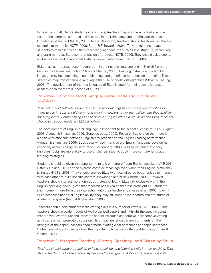Echevarria, 2004). Before students attend class, teachers may ask them to read a simple text on the same topic or read a similar text in their first language to stimulate their content knowledge of the text (NCTE, 2006). In the classroom, teachers should teach key vocabulary essential to the topic (NCTE, 2006; Short & Echevarria, 2004). They should encourage students to read silently and then teach language features such as text structure, vocabulary, and grammar to facilitate comprehension of the text (NCTE, 2006). They should ask students to discuss the reading materials both before and after reading (NCTE, 2006).

ELLs may learn to read best if taught both in their native language and in English from the beginning of formal instruction (Slavin & Cheung, 2003). Reading instruction in a familiar language may help decoding, sound blending, and generic comprehension strategies. These strategies may transfer among languages that use phonetic orthographies (Slavin & Cheung, 2003). The development of the first language of ELLs is good for their second language academic achievement (Genesee et al., 2006).

## Principle 8: Provide Good Language Use Models for Students to Follow

*Teachers should cultivate students' ability to use oral English and create opportunities for them to use it. ELLs should communicate with teachers rather than solely with their Englishspeaking peers. Before asking ELLs to produce English either in oral or written form, teachers should set a good model for ELLs to follow.* 

The development of English oral language is important to the school success of ELLs (August, 2003; August & Shanahan, 2006; Genesee et al., 2005). Research has shown that there is a positive relationship between English oral proficiency and English reading performance (August & Shanahan, 2006). ELLs usually need intensive oral English language development, especially academic English instruction (Goldenberg, 2008). As English oral proficiency improves, ELLs are more likely to use English as a tool to apply more complex language learning strategies.

Students should be given the opportunity to talk with more fluent English speakers (AYP, 2011; Bitter & Golden, 2010) and to express complex meanings even when their English proficiency is limited (NCTE, 2008). They should provide ELLs with goal-directed opportunities to interact with each other to build specific content knowledge and skills (Sherris, 2008). However, teachers should interact more with ELLs instead of letting ELLs talk exclusively with their English-speaking peers, given that research has revealed that less proficient ELL students might benefit more from their interaction with their teachers (Genesee et al., 2005). Even if ELLs possess fluent oral English ability, they may still need to learn forms and structures of academic language (August & Shanahan, 2006).

Teachers should help students learn writing skills in a number of ways (NCTE, 2006). First, teachers should provide models of well-organized papers and highlight the specific points that are well written. Second, teachers should introduce cooperative, collaborative writing activities that can promote discussion. Third, teachers should make comments on the strength of the paper. Teachers should model writing clear sentences and topic sentences. Higher level students can be given the opportunity to revise written text for clarity (Bitter & Golden, 2010).

## Principle 9: Integrate Reading, Writing, Speaking, and Listening Skills

*Teachers should integrate reading, writing, speaking, and listening skills in their teaching. They should teach ELLs to simultaneously develop their language skills with academic English.*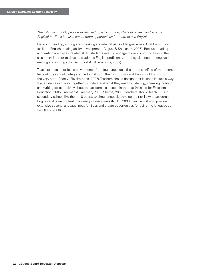*They should not only provide extensive English input (i.e., chances to read and listen to English) for ELLs but also create more opportunities for them to use English.* 

Listening, reading, writing and speaking are integral parts of language use. Oral English will facilitate English reading ability development (August & Shanahan, 2006). Because reading and writing are closely related skills, students need to engage in oral communication in the classroom in order to develop academic English proficiency, but they also need to engage in reading and writing activities (Short & Fitzsimmons, 2007).

Teachers should not focus only on one of the four language skills at the sacrifice of the others. Instead, they should integrate the four skills in their instruction and they should do so from the very start (Short & Fitzsimmons, 2007).Teachers should design their lessons in such a way that students can work together to understand what they read by listening, speaking, reading, and writing collaboratively about the academic concepts in the text (Alliance for Excellent Education, 2005; Freeman & Freeman, 2009; Sherris, 2008). Teachers should teach ELLs in secondary school, like their K–8 peers, to simultaneously develop their skills with academic English and learn content in a variety of disciplines (NCTE, 2008). Teachers should provide extensive second-language input for ELLs and create opportunities for using the language as well (Ellis, 2008).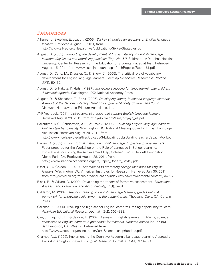## References

- Alliance for Excellent Education. (2005). *Six key strategies for teachers of English language learners*. Retrieved August 30, 2011, from http://www.all4ed.org/files/archive/publications/SixKeyStrategies.pdf
- August, D. (2003). *Supporting the development of English literacy in English language learners: Key issues and promising practices (Rep. No. 61)*. Baltimore, MD: Johns Hopkins University, Center for Research on the Education of Students Placed at Risk. Retrieved August, 15, 2011, from www.csos.jhu.edu/crespar/techReports/Report61.pdf
- August, D., Carlo, M., Dressler, C., & Snow, C. (2005). The critical role of vocabulary development for English language learners. *Learning Disabilities Research & Practice, 20*(1), 50–57.
- August, D., & Hakuta, K. (Eds.). (1997). *Improving schooling for language-minority children: A research agenda*. Washington, DC: National Academy Press.
- August, D., & Shanahan, T. (Eds.). (2006). *Developing literacy in second-language learners: A report of the National Literacy Panel on Language-Minority Children and Youth*. Mahwah, NJ: Lawrence Erlbaum Associates, Inc.
- AYP Yearbook. (2011). *Instructional strategies that support English language learners*. Retrieved August 29, 2011, from http://dpi.wi.gov/ssos/pdf/ayp\_ell.pdf
- Ballantyne, K.G., Sanderman, A.R., & Levy, J. (2008). *Educating English language learners: Building teacher capacity*. Washington, DC: National Clearinghouse for English Language Acquisition. Retrieved August 29, 2011, from http://www.ncela.gwu.edu/files/uploads/3/EducatingELLsBuildingTeacherCapacityVol1.pdf
- Bayley, R. (2009). *Explicit formal instruction in oral language: English-language learners*. Paper prepared for the Workshop on the Role of Language in School Learning: Implications for Closing the Achievement Gap, October 15–16, Hewlett Foundation, Menlo Park, CA. Retrieved August 28, 2011, from http://www7.nationalacademies.org/cfe/Paper\_Robert\_Bayley.pdf
- Bitter, C., & Golden, L. (2010). *Approaches to promoting college readiness for English learners*. Washington, DC: American Institutes for Research. Retrieved July 30, 2011, from http://www.air.org/focus-area/education/index.cfm?fa=viewcontent&content\_id=777
- Black, P., & Wiliam, D. (2009). Developing the theory of formative assessment. *Educational Assessment, Evaluation, and Accountability*, *21*(1), 5–31.
- Calderón, M. (2007). *Teaching reading to English language learners, grades 6–12: A framework for improving achievement in the content areas*. Thousand Oaks, CA: Corwin Press.
- Callahan, R. (2005). Tracking and high school English learners: Limiting opportunity to learn. *American Educational Research Journal*, *42*(2), 305–328.
- Carr, J., Lagunoff, R., & Sexton, U. (2007). Assessing English learners. In *Making science accessible to English learners: A guidebook for teachers, Updated edition* (pp. 77-86). San Francisco, CA: WestEd. Retrieved from http://www.wested.org/online\_pubs/Carr\_Science\_chap6update.pdf
- Chamot, A.U. (1995). Implementing the Cognitive Academic Language Learning Approach: *CALLA* in Arlington, Virginia. *Bilingual Research Journal*, *19*(3&4): 379–394.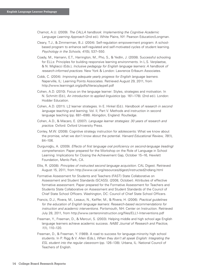- Chamot, A.U. (2009). *The CALLA handbook: Implementing the Cognitive Academic Language Learning Approach* (2nd ed.). White Plains, NY: Pearson Education/Longman.
- Cleary, T.J., & Zimmerman, B.J. (2004). Self-regulation empowerment program: A schoolbased program to enhance self-regulated and self-motivated cycles of student learning. *Psychology in the Schools*, *41*(5), 537–550.
- Coady, M., Hamann, E.T., Harrington, M., Pho, S., & Yedlin, J. (2008). Successful schooling for ELLs: Principles for building responsive learning environments. In L.S. Verplaetse, & N. Migliacci (Eds.), *Inclusive pedagogy for English language learners: A handbook of research-informed practices*. New York & London: Lawrence Erlbaum Associates.
- Cobb, C. (2004). *Improving adequate yearly progress for English language learners*. Naperville, IL: Learning Points Associates. Retrieved August 29, 2011, from http://www.learningpt.org/pdfs/literacy/aypell.pdf
- Cohen, A.D. (2010). Focus on the language learner: Styles, strategies and motivation. In N. Schmitt (Ed.), *An introduction to applied linguistics* (pp. 161–178). (2nd ed.). London: Hodder Education.
- Cohen, A.D. (2011). L2 learner strategies. In E. Hinkel (Ed.). *Handbook of research in second language teaching and learning*, Vol. II, Part V. Methods and instruction in second language teaching (pp. 681–698). Abingdon, England: Routledge.
- Cohen, A.D., & Macaro, E. (2007). *Language learner strategies: 30 years of research and practice*. Oxford: Oxford University Press.
- Conley, M.W. (2008). Cognitive strategy instruction for adolescents: What we know about the promise, what we don't know about the potential. *Harvard Educational Review*, *78*(1), 84–106.
- Durgunoğlu, A. (2009). *Effects of first language oral proficiency on second-language (reading) comprehension*. Paper prepared for the Workshop on the Role of Language in School Learning: Implications for Closing the Achievement Gap, October 15–16, Hewlett Foundation, Menlo Park, CA.
- Ellis, R. (2008). *Principles of instructed second language acquisition*. CAL Digest. Retrieved August 15, 2011, from http://www.cal.org/resources/digest/instructed2ndlang.html
- Formative Assessment for Students and Teachers (FAST) State Collaborative on Assessment and Student Standards (SCASS). (2008, October). Attributes of effective formative assessment. Paper prepared for the Formative Assessment for Teachers and Students State Collaborative on Assessment and Student Standards of the Council of Chief State School Officers. Washington, DC: Council of Chief State School Officers.
- Francis, D.J., Rivera, M., Lesaux, N., Keiffer, M., & Rivera, H. (2006). *Practical guidelines for the education of English language learners: Research-based recommendations for instruction and academic interventions*. Portsmouth, NH: Center on Instruction. Retrieved July 28, 2011, from http://www.centeroninstruction.org/files/ELL1-Interventions.pdf
- Freeman, Y., Freeman, D., & Mercuri, S. (2003). Helping middle and high school age English language learners achieve academic success. *NABE Journal of Research and Practice, 1*(1), 110–120.
- Freeman, D., & Freeman, Y. (1989). A road to success for language-minority high school students. In P. Rigg & V. Allen (Eds.), *When they don't all speak English: Integrating the ESL student into the regular classroom* (pp. 126–138). Urbana, IL: National Council of Teachers of English.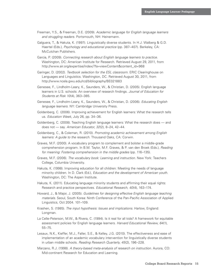- Freeman, Y.S., & Freeman, D.E. (2009). *Academic language for English language learners and struggling readers*. Portsmouth, NH: Heinemann.
- Galguera, T., & Hakuta, K. (1997). Linguistically diverse students. In H.J. Walberg & G.D. Haertel (Eds.), *Psychology and educational practice* (pp. 387–407). Berkeley, CA: McCutchan Publishers.
- Garcia, P. (2009). *Connecting research about English language learners to practice*. Washington, DC: American Institute for Research. Retrieved August 29, 2011, from http://www.air.org/expertise/index/?fa=viewContent&content\_id=968
- Garinger, D. (2002). *Textbook selection for the ESL classroom*. ERIC Clearinghouse on Languages and Linguistics. Washington, DC. Retrieved August 30, 2011, from http://www.ncela.gwu.edu/rcd/bibliography/BE021883
- Genesee, F., Lindholm-Leary, K., Saunders, W., & Christian, D. (2005). English language learners in U.S. schools: An overview of research findings. *Journal of Education for Students at Risk 10*(4), 363–385.
- Genesee, F., Lindholm-Leary, K., Saunders, W., & Christian, D. (2006). *Educating English language learners*. NY: Cambridge University Press.
- Goldenberg, C. (2006). Improving achievement for English learners: What the research tells us. *Education Week*, July 26, pp. 34–36.
- Goldenberg, C. (2008). Teaching English language learners: What the research does and does not — say. *American Educator*, *32*(2), 8–24, 42–44.
- Goldenberg, C., & Coleman, R. (2010). *Promoting academic achievement among English learners: A guide to the research*. Thousand Oaks, CA: Corwin.
- Graves, M.F. (2000). A vocabulary program to complement and bolster a middle-grade comprehension program. In B.M. Taylor, M.F. Graves, & P. van den Broek (Eds.), *Reading for meaning: Fostering comprehension in the middle grades* (pp. 116–135).
- Graves, M.F. (2006). *The vocabulary book: Learning and instruction*. New York: Teachers College, Columbia University.
- Hakuta, K. (1998). Improving education for all children: Meeting the needs of language minority children. In D. Clark (Ed.), *Education and the development of American youth*. Washington, DC: The Aspen Institute.
- Hakuta, K. (2011). Educating language minority students and affirming their equal rights: Research and practice perspectives. *Educational Research*, *40*(4), 163–174.
- Howard, J., & Major, J. (2005). *Guidelines for designing effective English language teaching materials*. Seoul, South Korea: Ninth Conference of the Pan-Pacific Association of Applied Linguistics, Oct 2004. 101–109.
- Krashen, S. (1985). *The input hypothesis: Issues and implications*. Harlow, England: Longman.
- La Celle-Peterson, M.W., & Rivera, C. (1994). Is it real for all kids? A framework for equitable assessment policies for English language learners. *Harvard Educational Review*, *64*(1), 55–75.
- Lesaux, N.K., Kieffer, M.J., Faller, S.E., & Kelley, J.G. (2010). The effectiveness and ease of implementation of an academic vocabulary intervention for linguistically diverse students in urban middle schools. *Reading Research Quarterly*, *45*(2), 196–228.
- Marzano, R.J. (1998). *A theory-based meta-analysis of research on instruction*. Aurora, CO: Mid-continent Research for Education and Learning.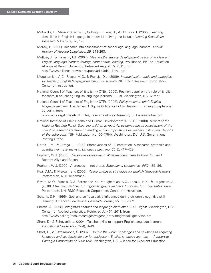- McCardle, P., Mele-McCarthy, J., Cutting, L., Leos, K., & D'Emilio, T. (2005). Learning disabilities in English language learners: Identifying the Issues. *Learning Disabilities Research & Practice*, *20*, 1–5.
- McKay, P. (2005). Research into assessment of school-age language learners. *Annual Review of Applied Linguistics*, *25*, 243-263.
- Meltzer, J., & Hamann, E.T. (2004). *Meeting the literacy development needs of adolescent English language learners through content area learning*. Providence, RI: The Education Alliance at Brown University. Retrieved August 15, 2011, from http://www.alliance.brown.edu/pubs/adlit/adell\_litdv1.pdf
- Moughamian, A.C., Rivera, M.O., & Francis, D.J. (2009). *Instructional models and strategies for teaching English language learners*. Portsmouth, NH: RMC Research Corporation, Center on Instruction.
- National Council of Teachers of English (NCTE). (2006). Position paper on the role of English teachers in educating English language learners (ELLs). Washington, DC: Author.
- National Council of Teachers of English (NCTE). (2008). *Policy research brief: English language learners*. The James R. Squire Office for Policy Research. Retrieved September 27, 2011, from

www.ncte.org/library/NCTEFiles/Resources/PolicyResearch/ELLResearchBrief.pdf

- National Institute of Child Health and Human Development (NICHD). (2000). *Report of the National Reading Panel. Teaching children to read: An evidence-based assessment of the scientific research literature on reading and its implications for reading instruction: Reports of the subgroups* (NIH Publication No. 00-4754). Washington, DC: U.S. Government Printing Office.
- Norris, J.M., & Ortega, L. (2000). Effectiveness of L2 instruction: A research synthesis and quantitative meta-analysis. *Language Learning*, *50*(3), 417–428.
- Popham, W.J. (2008). *Classroom assessment: What teachers need to know (5th ed.)*. Boston: Allyn and Bacon.
- Popham, W.J. (2009). A process not a test. *Educational Leadership*, *66*(7), 85–86.
- Rea, D.M., & Mercuri, S.P. (2006). *Research-based strategies for English language learners*. Portsmouth, NH: Heinemann.
- Rivera, M.O., Francis, D.J., Fernandez, M., Moughamian, A.C., Lesaux, N.K., & Jergensen, J. (2010). *Effective practices for English language learners*. *Principals from five states speak*. Portsmouth, NH: RMC Research Corporation, Center on Instruction.
- Schunk, D.H. (1996). Goal and self-evaluative influences during children's cognitive skill learning. *American Educational Research Journal*, *33*, 359–382.
- Sherris, A. (2008). *Integrated content and language instruction*. *CAL Digest*. Washington, DC: Center for Applied Linguistics. Retrieved July 31, 2011, from http://www.cal.org/resources/digest/digest\_pdfs/IntegratedDigestWeb.pdf
- Short, D., & Echevarria, J. (2004). Teacher skills to support English language learners. *Educational Leadership*, *62*(4), 8–13.
- Short, D., & Fitzsimmons, S. (2007). *Double the work: Challenges and solutions to acquiring language and academic literacy for adolescent English language learners — A report to Carnegie Corporation of New York*. Washington, DC: Alliance for Excellent Education.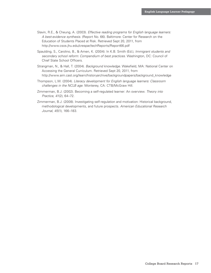- Slavin, R.E., & Cheung, A. (2003). *Effective reading programs for English language learners: A best-evidence synthesis*. (Report No. 66). Baltimore: Center for Research on the Education of Students Placed at Risk. Retrieved Sept 20, 2011, from http://www.csos.jhu.edu/crespar/techReports/Report66.pdf
- Spaulding, S., Carolino, B., & Amen, K. (2004). In K.B. Smith (Ed.), *Immigrant students and secondary school reform: Compendium of best practices*. Washington, DC: Council of Chief State School Officers.
- Strangman, N., & Hall, T. (2004). *Background knowledge*. Wakefield, MA: National Center on Accessing the General Curriculum. Retrieved Sept 20, 2011, from http://www.aim.cast.org/learn/historyarchive/backgroundpapers/background\_knowledge
- Thompson, L.W. (2004). *Literacy development for English language learners: Classroom challenges in the NCLB age*. Monterey, CA: CTB/McGraw Hill.
- Zimmerman, B.J. (2002). Becoming a self-regulated learner: An overview. *Theory into Practice*, *41*(2), 64–72.
- Zimmerman, B.J. (2008). Investigating self-regulation and motivation: Historical background, methodological developments, and future prospects. *American Educational Research Journal*, *45*(1), 166–183.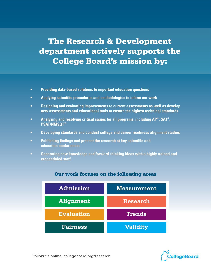## The Research & Development department actively supports the College Board's mission by:

- **• Providing data-based solutions to important education questions**
- **• Applying scientific procedures and methodologies to inform our work**
- **• Designing and evaluating improvements to current assessments as well as develop new assessments and educational tools to ensure the highest technical standards**
- **• Analyzing and resolving critical issues for all programs, including AP®, SAT®, PSAT/NMSQT®**
- **• Developing standards and conduct college and career readiness alignment studies**
- **• Publishing findings and present the research at key scientific and education conferences**
- **• Generating new knowledge and forward-thinking ideas with a highly trained and credentialed staff**



## Our work focuses on the following areas